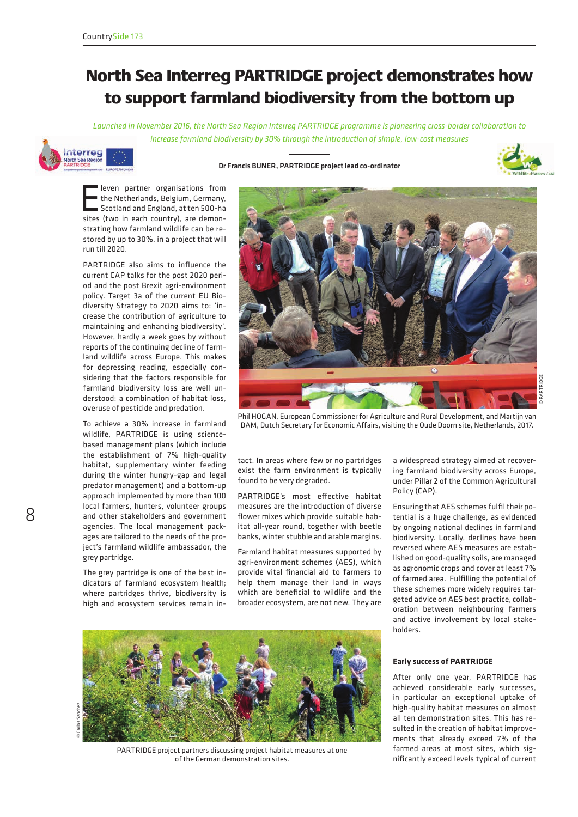## North Sea Interreg PARTRIDGE project demonstrates how to support farmland biodiversity from the bottom up

*Launched in November 2016, the North Sea Region Interreg PARTRIDGE programme is pioneering cross-border collaboration to increase farmland biodiversity by 30% through the introduction of simple, low-cost measures*



## Dr Francis BUNER, PARTRIDGE project lead co-ordinator



**Eleven partner organisations from**<br>the Netherlands, Belgium, Germany,<br>Scotland and England, at ten 500-ha<br>sites (two in each country), are demonthe Netherlands, Belgium, Germany, sites (two in each country), are demonstrating how farmland wildlife can be restored by up to 30%, in a project that will run till 2020.

PARTRIDGE also aims to influence the current CAP talks for the post 2020 period and the post Brexit agri-environment policy. Target 3a of the current EU Biodiversity Strategy to 2020 aims to: 'increase the contribution of agriculture to maintaining and enhancing biodiversity'. However, hardly a week goes by without reports of the continuing decline of farmland wildlife across Europe. This makes for depressing reading, especially considering that the factors responsible for farmland biodiversity loss are well understood: a combination of habitat loss, overuse of pesticide and predation.

To achieve a 30% increase in farmland wildlife, PARTRIDGE is using sciencebased management plans (which include the establishment of 7% high-quality habitat, supplementary winter feeding during the winter hungry-gap and legal predator management) and a bottom-up approach implemented by more than 100 local farmers, hunters, volunteer groups and other stakeholders and government agencies. The local management packages are tailored to the needs of the project's farmland wildlife ambassador, the grey partridge.

The grey partridge is one of the best indicators of farmland ecosystem health; where partridges thrive, biodiversity is high and ecosystem services remain in-



Phil HOGAN, European Commissioner for Agriculture and Rural Development, and Martijn van DAM, Dutch Secretary for Economic Affairs, visiting the Oude Doorn site, Netherlands, 2017.

tact. In areas where few or no partridges exist the farm environment is typically found to be very degraded.

PARTRIDGE's most effective habitat measures are the introduction of diverse flower mixes which provide suitable habitat all-year round, together with beetle banks, winter stubble and arable margins.

Farmland habitat measures supported by agri-environment schemes (AES), which provide vital financial aid to farmers to help them manage their land in ways which are beneficial to wildlife and the broader ecosystem, are not new. They are

a widespread strategy aimed at recovering farmland biodiversity across Europe, under Pillar 2 of the Common Agricultural Policy (CAP).

Ensuring that AES schemes fulfil their potential is a huge challenge, as evidenced by ongoing national declines in farmland biodiversity. Locally, declines have been reversed where AES measures are established on good-quality soils, are managed as agronomic crops and cover at least 7% of farmed area. Fulfilling the potential of these schemes more widely requires targeted advice on AES best practice, collaboration between neighbouring farmers and active involvement by local stakeholders.



PARTRIDGE project partners discussing project habitat measures at one of the German demonstration sites.

**Early success of PARTRIDGE**

After only one year, PARTRIDGE has achieved considerable early successes, in particular an exceptional uptake of high-quality habitat measures on almost all ten demonstration sites. This has resulted in the creation of habitat improvements that already exceed 7% of the farmed areas at most sites, which significantly exceed levels typical of current